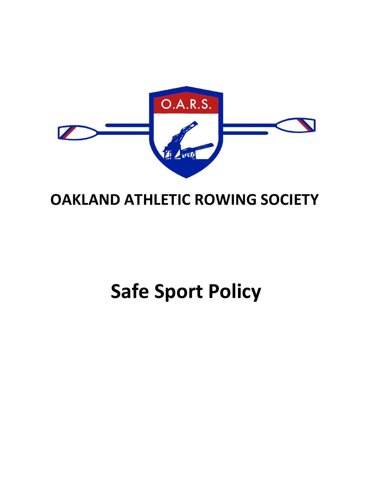

## **OAKLAND ATHLETIC ROWING SOCIETY**

# **Safe Sport Policy**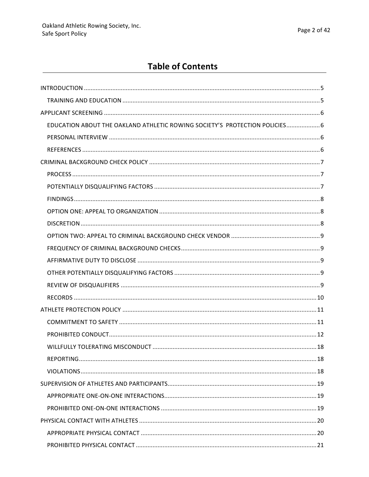## **Table of Contents**

| EDUCATION ABOUT THE OAKLAND ATHLETIC ROWING SOCIETY'S PROTECTION POLICIES 6 |  |
|-----------------------------------------------------------------------------|--|
|                                                                             |  |
|                                                                             |  |
|                                                                             |  |
|                                                                             |  |
|                                                                             |  |
|                                                                             |  |
|                                                                             |  |
|                                                                             |  |
|                                                                             |  |
|                                                                             |  |
|                                                                             |  |
|                                                                             |  |
|                                                                             |  |
|                                                                             |  |
|                                                                             |  |
|                                                                             |  |
|                                                                             |  |
|                                                                             |  |
|                                                                             |  |
|                                                                             |  |
|                                                                             |  |
|                                                                             |  |
|                                                                             |  |
|                                                                             |  |
|                                                                             |  |
|                                                                             |  |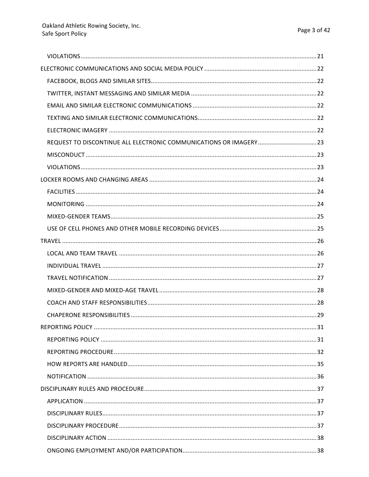| REQUEST TO DISCONTINUE ALL ELECTRONIC COMMUNICATIONS OR IMAGERY23 |  |
|-------------------------------------------------------------------|--|
|                                                                   |  |
|                                                                   |  |
|                                                                   |  |
|                                                                   |  |
|                                                                   |  |
|                                                                   |  |
|                                                                   |  |
|                                                                   |  |
|                                                                   |  |
|                                                                   |  |
|                                                                   |  |
|                                                                   |  |
|                                                                   |  |
|                                                                   |  |
|                                                                   |  |
|                                                                   |  |
|                                                                   |  |
|                                                                   |  |
|                                                                   |  |
|                                                                   |  |
|                                                                   |  |
|                                                                   |  |
|                                                                   |  |
|                                                                   |  |
|                                                                   |  |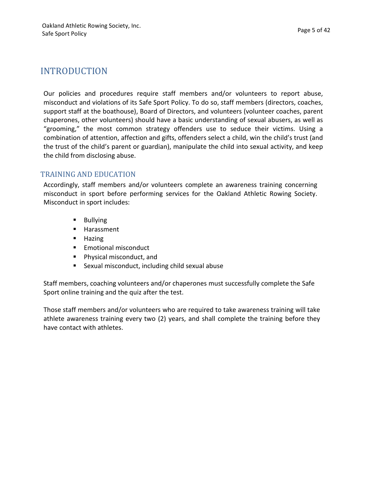## INTRODUCTION

Our policies and procedures require staff members and/or volunteers to report abuse, misconduct and violations of its Safe Sport Policy. To do so, staff members (directors, coaches, support staff at the boathouse), Board of Directors, and volunteers (volunteer coaches, parent chaperones, other volunteers) should have a basic understanding of sexual abusers, as well as "grooming," the most common strategy offenders use to seduce their victims. Using a combination of attention, affection and gifts, offenders select a child, win the child's trust (and the trust of the child's parent or guardian), manipulate the child into sexual activity, and keep the child from disclosing abuse.

#### TRAINING AND EDUCATION

Accordingly, staff members and/or volunteers complete an awareness training concerning misconduct in sport before performing services for the Oakland Athletic Rowing Society. Misconduct in sport includes:

- Bullying
- Harassment
- § Hazing
- Emotional misconduct
- Physical misconduct, and
- Sexual misconduct, including child sexual abuse

Staff members, coaching volunteers and/or chaperones must successfully complete the Safe Sport online training and the quiz after the test.

Those staff members and/or volunteers who are required to take awareness training will take athlete awareness training every two (2) years, and shall complete the training before they have contact with athletes.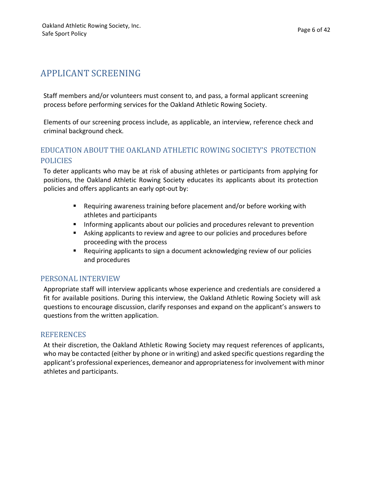## APPLICANT SCREENING

Staff members and/or volunteers must consent to, and pass, a formal applicant screening process before performing services for the Oakland Athletic Rowing Society.

Elements of our screening process include, as applicable, an interview, reference check and criminal background check.

#### EDUCATION ABOUT THE OAKLAND ATHLETIC ROWING SOCIETY'S PROTECTION POLICIES

To deter applicants who may be at risk of abusing athletes or participants from applying for positions, the Oakland Athletic Rowing Society educates its applicants about its protection policies and offers applicants an early opt-out by:

- Requiring awareness training before placement and/or before working with athletes and participants
- **■** Informing applicants about our policies and procedures relevant to prevention
- Asking applicants to review and agree to our policies and procedures before proceeding with the process
- Requiring applicants to sign a document acknowledging review of our policies and procedures

#### PERSONAL INTERVIEW

Appropriate staff will interview applicants whose experience and credentials are considered a fit for available positions. During this interview, the Oakland Athletic Rowing Society will ask questions to encourage discussion, clarify responses and expand on the applicant's answers to questions from the written application.

#### **REFERENCES**

At their discretion, the Oakland Athletic Rowing Society may request references of applicants, who may be contacted (either by phone or in writing) and asked specific questions regarding the applicant's professional experiences, demeanor and appropriateness for involvement with minor athletes and participants.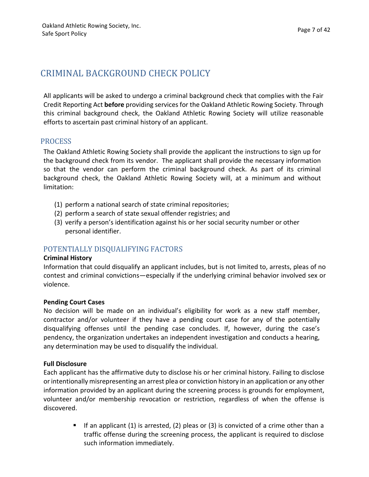## CRIMINAL BACKGROUND CHECK POLICY

All applicants will be asked to undergo a criminal background check that complies with the Fair Credit Reporting Act before providing services for the Oakland Athletic Rowing Society. Through this criminal background check, the Oakland Athletic Rowing Society will utilize reasonable efforts to ascertain past criminal history of an applicant.

#### PROCESS

The Oakland Athletic Rowing Society shall provide the applicant the instructions to sign up for the background check from its vendor. The applicant shall provide the necessary information so that the vendor can perform the criminal background check. As part of its criminal background check, the Oakland Athletic Rowing Society will, at a minimum and without limitation:

- (1) perform a national search of state criminal repositories;
- (2) perform a search of state sexual offender registries; and
- $(3)$  verify a person's identification against his or her social security number or other personal identifier.

#### POTENTIALLY DISQUALIFYING FACTORS

#### **Criminal History**

Information that could disqualify an applicant includes, but is not limited to, arrests, pleas of no contest and criminal convictions—especially if the underlying criminal behavior involved sex or violence.

#### **Pending Court Cases**

No decision will be made on an individual's eligibility for work as a new staff member, contractor and/or volunteer if they have a pending court case for any of the potentially disqualifying offenses until the pending case concludes. If, however, during the case's pendency, the organization undertakes an independent investigation and conducts a hearing, any determination may be used to disqualify the individual.

#### **Full Disclosure**

Each applicant has the affirmative duty to disclose his or her criminal history. Failing to disclose or intentionally misrepresenting an arrest plea or conviction history in an application or any other information provided by an applicant during the screening process is grounds for employment, volunteer and/or membership revocation or restriction, regardless of when the offense is discovered.

> **•** If an applicant  $(1)$  is arrested,  $(2)$  pleas or  $(3)$  is convicted of a crime other than a traffic offense during the screening process, the applicant is required to disclose such information immediately.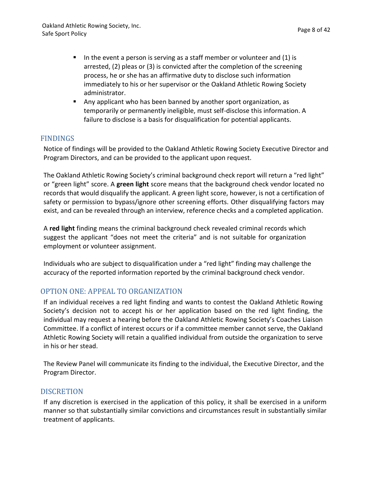- In the event a person is serving as a staff member or volunteer and  $(1)$  is arrested,  $(2)$  pleas or  $(3)$  is convicted after the completion of the screening process, he or she has an affirmative duty to disclose such information immediately to his or her supervisor or the Oakland Athletic Rowing Society administrator.
- Any applicant who has been banned by another sport organization, as temporarily or permanently ineligible, must self-disclose this information. A failure to disclose is a basis for disqualification for potential applicants.

#### FINDINGS

Notice of findings will be provided to the Oakland Athletic Rowing Society Executive Director and Program Directors, and can be provided to the applicant upon request.

The Oakland Athletic Rowing Society's criminal background check report will return a "red light" or "green light" score. A green light score means that the background check vendor located no records that would disqualify the applicant. A green light score, however, is not a certification of safety or permission to bypass/ignore other screening efforts. Other disqualifying factors may exist, and can be revealed through an interview, reference checks and a completed application.

A red light finding means the criminal background check revealed criminal records which suggest the applicant "does not meet the criteria" and is not suitable for organization employment or volunteer assignment.

Individuals who are subject to disqualification under a "red light" finding may challenge the accuracy of the reported information reported by the criminal background check vendor.

#### OPTION ONE: APPEAL TO ORGANIZATION

If an individual receives a red light finding and wants to contest the Oakland Athletic Rowing Society's decision not to accept his or her application based on the red light finding, the individual may request a hearing before the Oakland Athletic Rowing Society's Coaches Liaison Committee. If a conflict of interest occurs or if a committee member cannot serve, the Oakland Athletic Rowing Society will retain a qualified individual from outside the organization to serve in his or her stead.

The Review Panel will communicate its finding to the individual, the Executive Director, and the Program Director.

#### **DISCRETION**

If any discretion is exercised in the application of this policy, it shall be exercised in a uniform manner so that substantially similar convictions and circumstances result in substantially similar treatment of applicants.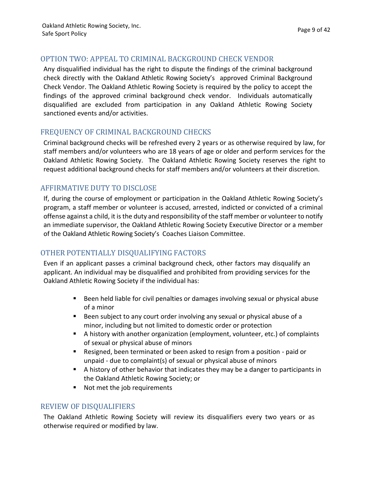#### OPTION TWO: APPEAL TO CRIMINAL BACKGROUND CHECK VENDOR

Any disqualified individual has the right to dispute the findings of the criminal background check directly with the Oakland Athletic Rowing Society's approved Criminal Background Check Vendor. The Oakland Athletic Rowing Society is required by the policy to accept the findings of the approved criminal background check vendor. Individuals automatically disqualified are excluded from participation in any Oakland Athletic Rowing Society sanctioned events and/or activities.

#### FREQUENCY OF CRIMINAL BACKGROUND CHECKS

Criminal background checks will be refreshed every 2 years or as otherwise required by law, for staff members and/or volunteers who are 18 years of age or older and perform services for the Oakland Athletic Rowing Society. The Oakland Athletic Rowing Society reserves the right to request additional background checks for staff members and/or volunteers at their discretion.

#### AFFIRMATIVE DUTY TO DISCLOSE

If, during the course of employment or participation in the Oakland Athletic Rowing Society's program, a staff member or volunteer is accused, arrested, indicted or convicted of a criminal offense against a child, it is the duty and responsibility of the staff member or volunteer to notify an immediate supervisor, the Oakland Athletic Rowing Society Executive Director or a member of the Oakland Athletic Rowing Society's Coaches Liaison Committee.

#### OTHER POTENTIALLY DISQUALIFYING FACTORS

Even if an applicant passes a criminal background check, other factors may disqualify an applicant. An individual may be disqualified and prohibited from providing services for the Oakland Athletic Rowing Society if the individual has:

- Been held liable for civil penalties or damages involving sexual or physical abuse of a minor
- Been subject to any court order involving any sexual or physical abuse of a minor, including but not limited to domestic order or protection
- A history with another organization (employment, volunteer, etc.) of complaints of sexual or physical abuse of minors
- Resigned, been terminated or been asked to resign from a position paid or unpaid - due to complaint(s) of sexual or physical abuse of minors
- $\blacksquare$  A history of other behavior that indicates they may be a danger to participants in the Oakland Athletic Rowing Society; or
- Not met the job requirements

#### REVIEW OF DISQUALIFIERS

The Oakland Athletic Rowing Society will review its disqualifiers every two years or as otherwise required or modified by law.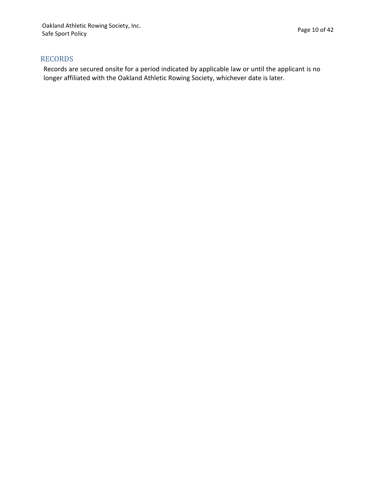#### RECORDS

Records are secured onsite for a period indicated by applicable law or until the applicant is no longer affiliated with the Oakland Athletic Rowing Society, whichever date is later.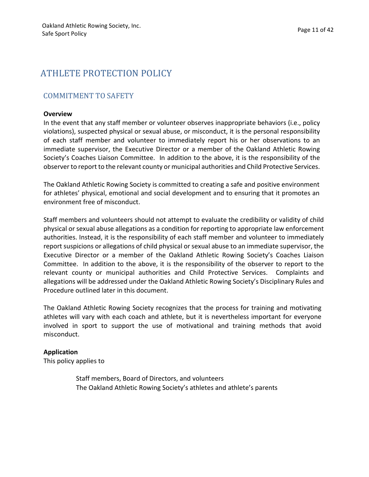## ATHLETE PROTECTION POLICY

#### **COMMITMENT TO SAFETY**

#### **Overview**

In the event that any staff member or volunteer observes inappropriate behaviors (i.e., policy violations), suspected physical or sexual abuse, or misconduct, it is the personal responsibility of each staff member and volunteer to immediately report his or her observations to an immediate supervisor, the Executive Director or a member of the Oakland Athletic Rowing Society's Coaches Liaison Committee. In addition to the above, it is the responsibility of the observer to report to the relevant county or municipal authorities and Child Protective Services.

The Oakland Athletic Rowing Society is committed to creating a safe and positive environment for athletes' physical, emotional and social development and to ensuring that it promotes an environment free of misconduct.

Staff members and volunteers should not attempt to evaluate the credibility or validity of child physical or sexual abuse allegations as a condition for reporting to appropriate law enforcement authorities. Instead, it is the responsibility of each staff member and volunteer to immediately report suspicions or allegations of child physical or sexual abuse to an immediate supervisor, the Executive Director or a member of the Oakland Athletic Rowing Society's Coaches Liaison Committee. In addition to the above, it is the responsibility of the observer to report to the relevant county or municipal authorities and Child Protective Services. Complaints and allegations will be addressed under the Oakland Athletic Rowing Society's Disciplinary Rules and Procedure outlined later in this document.

The Oakland Athletic Rowing Society recognizes that the process for training and motivating athletes will vary with each coach and athlete, but it is nevertheless important for everyone involved in sport to support the use of motivational and training methods that avoid misconduct.

#### **Application**

This policy applies to

Staff members, Board of Directors, and volunteers The Oakland Athletic Rowing Society's athletes and athlete's parents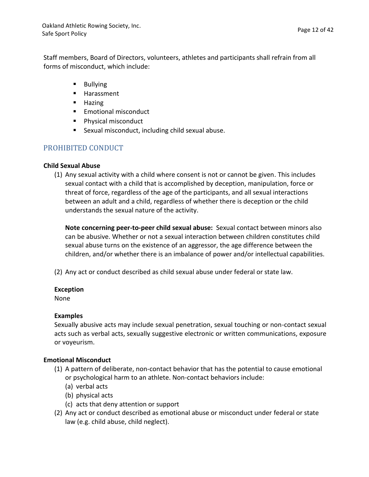Staff members, Board of Directors, volunteers, athletes and participants shall refrain from all forms of misconduct, which include:

- Bullying
- Harassment
- Hazing
- Emotional misconduct
- Physical misconduct
- Sexual misconduct, including child sexual abuse.

#### PROHIBITED CONDUCT

#### **Child Sexual Abuse**

 $(1)$  Any sexual activity with a child where consent is not or cannot be given. This includes sexual contact with a child that is accomplished by deception, manipulation, force or threat of force, regardless of the age of the participants, and all sexual interactions between an adult and a child, regardless of whether there is deception or the child understands the sexual nature of the activity.

**Note concerning peer-to-peer child sexual abuse:** Sexual contact between minors also can be abusive. Whether or not a sexual interaction between children constitutes child sexual abuse turns on the existence of an aggressor, the age difference between the children, and/or whether there is an imbalance of power and/or intellectual capabilities.

(2) Any act or conduct described as child sexual abuse under federal or state law.

#### **Exception**

None

#### **Examples**

Sexually abusive acts may include sexual penetration, sexual touching or non-contact sexual acts such as verbal acts, sexually suggestive electronic or written communications, exposure or voyeurism.

#### **Emotional Misconduct**

- $(1)$  A pattern of deliberate, non-contact behavior that has the potential to cause emotional or psychological harm to an athlete. Non-contact behaviors include:
	- (a) verbal acts
	- (b) physical acts
	- (c) acts that deny attention or support
- (2) Any act or conduct described as emotional abuse or misconduct under federal or state law (e.g. child abuse, child neglect).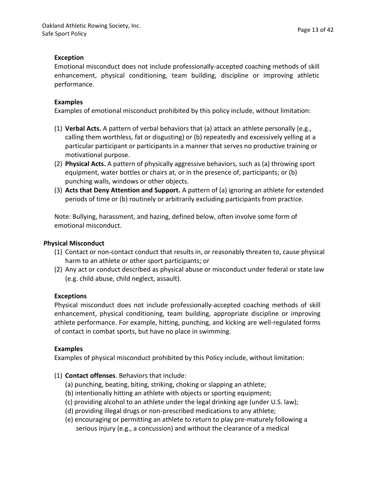#### **Exception**

Emotional misconduct does not include professionally-accepted coaching methods of skill enhancement, physical conditioning, team building, discipline or improving athletic performance.

#### **Examples**

Examples of emotional misconduct prohibited by this policy include, without limitation:

- (1) **Verbal Acts.** A pattern of verbal behaviors that (a) attack an athlete personally (e.g., calling them worthless, fat or disgusting) or (b) repeatedly and excessively yelling at a particular participant or participants in a manner that serves no productive training or motivational purpose.
- (2) **Physical Acts.** A pattern of physically aggressive behaviors, such as (a) throwing sport equipment, water bottles or chairs at, or in the presence of, participants; or (b) punching walls, windows or other objects.
- (3) **Acts that Deny Attention and Support.** A pattern of (a) ignoring an athlete for extended periods of time or (b) routinely or arbitrarily excluding participants from practice.

Note: Bullying, harassment, and hazing, defined below, often involve some form of emotional misconduct.

#### **Physical Misconduct**

- (1) Contact or non-contact conduct that results in, or reasonably threaten to, cause physical harm to an athlete or other sport participants; or
- (2) Any act or conduct described as physical abuse or misconduct under federal or state law (e.g. child abuse, child neglect, assault).

#### **Exceptions**

Physical misconduct does not include professionally-accepted coaching methods of skill enhancement, physical conditioning, team building, appropriate discipline or improving athlete performance. For example, hitting, punching, and kicking are well-regulated forms of contact in combat sports, but have no place in swimming.

#### **Examples**

Examples of physical misconduct prohibited by this Policy include, without limitation:

- (1) **Contact offenses**. Behaviors that include:
	- (a) punching, beating, biting, striking, choking or slapping an athlete;
	- (b) intentionally hitting an athlete with objects or sporting equipment;
	- (c) providing alcohol to an athlete under the legal drinking age (under U.S. law);
	- (d) providing illegal drugs or non-prescribed medications to any athlete;
	- (e) encouraging or permitting an athlete to return to play pre-maturely following a serious injury (e.g., a concussion) and without the clearance of a medical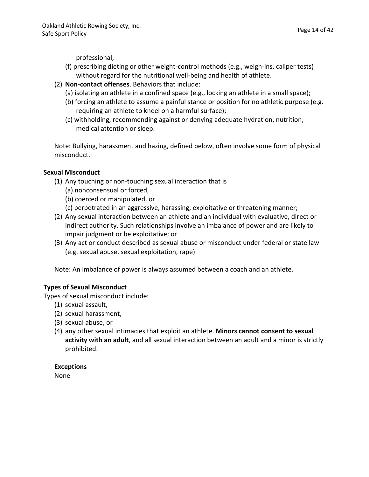Page 14 of 42

professional;

- (f) prescribing dieting or other weight-control methods (e.g., weigh-ins, caliper tests) without regard for the nutritional well-being and health of athlete.
- (2) **Non-contact offenses**. Behaviors that include:
	- (a) isolating an athlete in a confined space (e.g., locking an athlete in a small space);
	- (b) forcing an athlete to assume a painful stance or position for no athletic purpose (e.g. requiring an athlete to kneel on a harmful surface);
	- (c) withholding, recommending against or denying adequate hydration, nutrition, medical attention or sleep.

Note: Bullying, harassment and hazing, defined below, often involve some form of physical misconduct.

#### **Sexual Misconduct**

- (1) Any touching or non-touching sexual interaction that is
	- (a) nonconsensual or forced,
	- (b) coerced or manipulated, or
	- (c) perpetrated in an aggressive, harassing, exploitative or threatening manner;
- (2) Any sexual interaction between an athlete and an individual with evaluative, direct or indirect authority. Such relationships involve an imbalance of power and are likely to impair judgment or be exploitative; or
- (3) Any act or conduct described as sexual abuse or misconduct under federal or state law (e.g. sexual abuse, sexual exploitation, rape)

Note: An imbalance of power is always assumed between a coach and an athlete.

#### **Types of Sexual Misconduct**

Types of sexual misconduct include: 

- (1) sexual assault,
- (2) sexual harassment,
- (3) sexual abuse, or
- (4) any other sexual intimacies that exploit an athlete. Minors cannot consent to sexual **activity with an adult**, and all sexual interaction between an adult and a minor is strictly prohibited.

**Exceptions**

None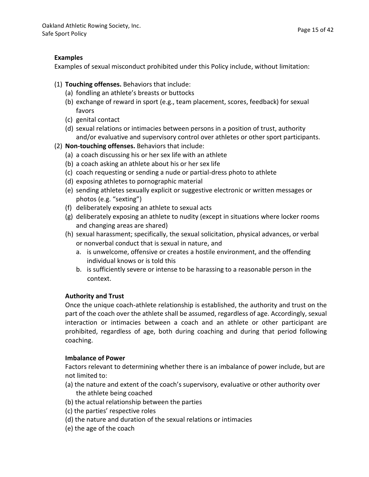#### **Examples**

Examples of sexual misconduct prohibited under this Policy include, without limitation:

- (1) **Touching offenses.** Behaviors that include:
	- (a) fondling an athlete's breasts or buttocks
	- (b) exchange of reward in sport (e.g., team placement, scores, feedback) for sexual favors
	- (c) genital contact
	- (d) sexual relations or intimacies between persons in a position of trust, authority and/or evaluative and supervisory control over athletes or other sport participants.
- (2) **Non-touching offenses.** Behaviors that include:
	- (a) a coach discussing his or her sex life with an athlete
	- (b) a coach asking an athlete about his or her sex life
	- (c) coach requesting or sending a nude or partial-dress photo to athlete
	- (d) exposing athletes to pornographic material
	- (e) sending athletes sexually explicit or suggestive electronic or written messages or photos (e.g. "sexting")
	- (f) deliberately exposing an athlete to sexual acts
	- (g) deliberately exposing an athlete to nudity (except in situations where locker rooms and changing areas are shared)
	- (h) sexual harassment; specifically, the sexual solicitation, physical advances, or verbal or nonverbal conduct that is sexual in nature, and
		- a. is unwelcome, offensive or creates a hostile environment, and the offending individual knows or is told this
		- b. is sufficiently severe or intense to be harassing to a reasonable person in the context.

#### **Authority and Trust**

Once the unique coach-athlete relationship is established, the authority and trust on the part of the coach over the athlete shall be assumed, regardless of age. Accordingly, sexual interaction or intimacies between a coach and an athlete or other participant are prohibited, regardless of age, both during coaching and during that period following coaching.

#### **Imbalance of Power**

Factors relevant to determining whether there is an imbalance of power include, but are not limited to:

- (a) the nature and extent of the coach's supervisory, evaluative or other authority over the athlete being coached
- (b) the actual relationship between the parties
- (c) the parties' respective roles
- (d) the nature and duration of the sexual relations or intimacies
- (e) the age of the coach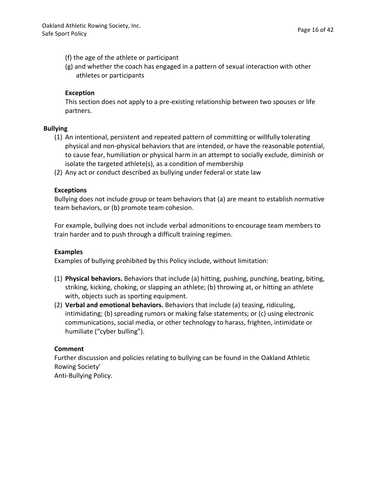- (f) the age of the athlete or participant
- $(g)$  and whether the coach has engaged in a pattern of sexual interaction with other athletes or participants

#### **Exception**

This section does not apply to a pre-existing relationship between two spouses or life partners.

#### **Bullying**

- (1) An intentional, persistent and repeated pattern of committing or willfully tolerating physical and non-physical behaviors that are intended, or have the reasonable potential, to cause fear, humiliation or physical harm in an attempt to socially exclude, diminish or isolate the targeted athlete(s), as a condition of membership
- (2) Any act or conduct described as bullying under federal or state law

#### **Exceptions**

Bullying does not include group or team behaviors that (a) are meant to establish normative team behaviors, or (b) promote team cohesion.

For example, bullying does not include verbal admonitions to encourage team members to train harder and to push through a difficult training regimen.

#### **Examples**

Examples of bullying prohibited by this Policy include, without limitation:

- (1) **Physical behaviors.** Behaviors that include (a) hitting, pushing, punching, beating, biting, striking, kicking, choking, or slapping an athlete; (b) throwing at, or hitting an athlete with, objects such as sporting equipment.
- (2) **Verbal and emotional behaviors.** Behaviors that include (a) teasing, ridiculing, intimidating; (b) spreading rumors or making false statements; or (c) using electronic communications, social media, or other technology to harass, frighten, intimidate or humiliate ("cyber bulling").

#### **Comment**

Further discussion and policies relating to bullying can be found in the Oakland Athletic Rowing Society' Anti-Bullying Policy.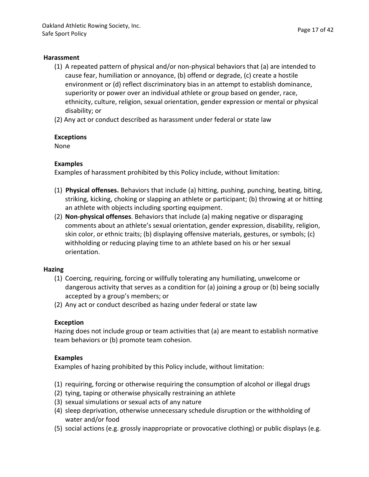#### **Harassment**

- $(1)$  A repeated pattern of physical and/or non-physical behaviors that (a) are intended to cause fear, humiliation or annoyance, (b) offend or degrade, (c) create a hostile environment or (d) reflect discriminatory bias in an attempt to establish dominance, superiority or power over an individual athlete or group based on gender, race, ethnicity, culture, religion, sexual orientation, gender expression or mental or physical disability; or
- (2) Any act or conduct described as harassment under federal or state law

#### **Exceptions**

None

#### **Examples**

Examples of harassment prohibited by this Policy include, without limitation:

- (1) **Physical offenses.** Behaviors that include (a) hitting, pushing, punching, beating, biting, striking, kicking, choking or slapping an athlete or participant; (b) throwing at or hitting an athlete with objects including sporting equipment.
- (2) **Non-physical offenses**. Behaviors that include (a) making negative or disparaging comments about an athlete's sexual orientation, gender expression, disability, religion, skin color, or ethnic traits; (b) displaying offensive materials, gestures, or symbols; (c) withholding or reducing playing time to an athlete based on his or her sexual orientation.

#### **Hazing**

- (1) Coercing, requiring, forcing or willfully tolerating any humiliating, unwelcome or dangerous activity that serves as a condition for (a) joining a group or (b) being socially accepted by a group's members; or
- (2) Any act or conduct described as hazing under federal or state law

#### **Exception**

Hazing does not include group or team activities that (a) are meant to establish normative team behaviors or (b) promote team cohesion.

#### **Examples**

Examples of hazing prohibited by this Policy include, without limitation:

- (1) requiring, forcing or otherwise requiring the consumption of alcohol or illegal drugs
- (2) tying, taping or otherwise physically restraining an athlete
- (3) sexual simulations or sexual acts of any nature
- (4) sleep deprivation, otherwise unnecessary schedule disruption or the withholding of water and/or food
- $(5)$  social actions (e.g. grossly inappropriate or provocative clothing) or public displays (e.g.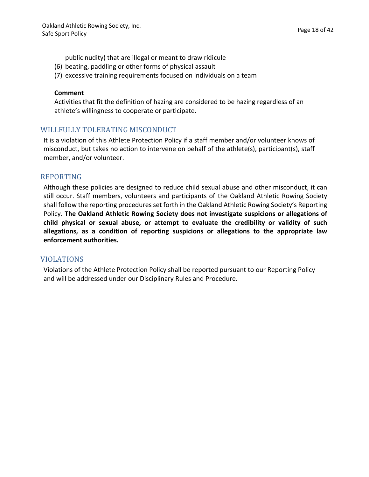public nudity) that are illegal or meant to draw ridicule

- (6) beating, paddling or other forms of physical assault
- (7) excessive training requirements focused on individuals on a team

#### **Comment**

Activities that fit the definition of hazing are considered to be hazing regardless of an athlete's willingness to cooperate or participate.

#### WILLFULLY TOLERATING MISCONDUCT

It is a violation of this Athlete Protection Policy if a staff member and/or volunteer knows of misconduct, but takes no action to intervene on behalf of the athlete(s), participant(s), staff member, and/or volunteer.

#### REPORTING

Although these policies are designed to reduce child sexual abuse and other misconduct, it can still occur. Staff members, volunteers and participants of the Oakland Athletic Rowing Society shall follow the reporting procedures set forth in the Oakland Athletic Rowing Society's Reporting Policy. **The Oakland Athletic Rowing Society does not investigate suspicions or allegations of child physical or sexual abuse, or attempt to evaluate the credibility or validity of such allegations, as a condition of reporting suspicions or allegations to the appropriate law enforcement authorities.**

#### VIOLATIONS

Violations of the Athlete Protection Policy shall be reported pursuant to our Reporting Policy and will be addressed under our Disciplinary Rules and Procedure.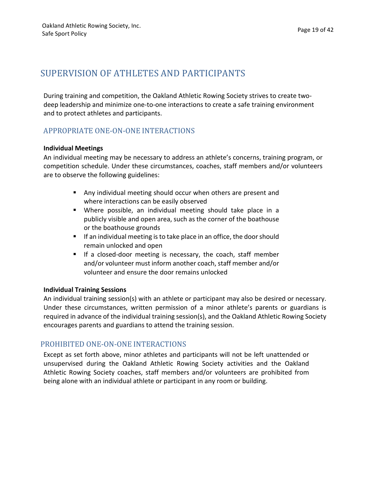## SUPERVISION OF ATHLETES AND PARTICIPANTS

During training and competition, the Oakland Athletic Rowing Society strives to create twodeep leadership and minimize one-to-one interactions to create a safe training environment and to protect athletes and participants.

#### APPROPRIATE ONE-ON-ONE INTERACTIONS

#### **Individual Meetings**

An individual meeting may be necessary to address an athlete's concerns, training program, or competition schedule. Under these circumstances, coaches, staff members and/or volunteers are to observe the following guidelines:

- Any individual meeting should occur when others are present and where interactions can be easily observed
- Where possible, an individual meeting should take place in a publicly visible and open area, such as the corner of the boathouse or the boathouse grounds
- If an individual meeting is to take place in an office, the door should remain unlocked and open
- **•** If a closed-door meeting is necessary, the coach, staff member and/or volunteer must inform another coach, staff member and/or volunteer and ensure the door remains unlocked

#### **Individual Training Sessions**

An individual training session(s) with an athlete or participant may also be desired or necessary. Under these circumstances, written permission of a minor athlete's parents or guardians is required in advance of the individual training session(s), and the Oakland Athletic Rowing Society encourages parents and guardians to attend the training session.

#### PROHIBITED ONE-ON-ONE INTERACTIONS

Except as set forth above, minor athletes and participants will not be left unattended or unsupervised during the Oakland Athletic Rowing Society activities and the Oakland Athletic Rowing Society coaches, staff members and/or volunteers are prohibited from being alone with an individual athlete or participant in any room or building.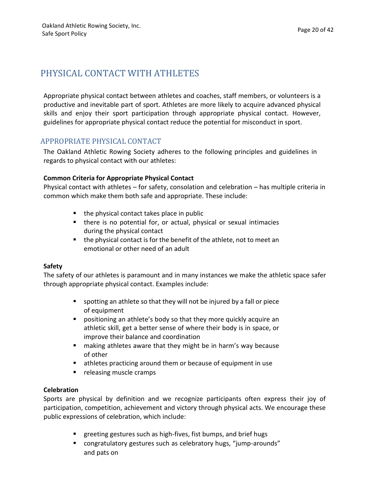## PHYSICAL CONTACT WITH ATHLETES

Appropriate physical contact between athletes and coaches, staff members, or volunteers is a productive and inevitable part of sport. Athletes are more likely to acquire advanced physical skills and enjoy their sport participation through appropriate physical contact. However, guidelines for appropriate physical contact reduce the potential for misconduct in sport.

#### APPROPRIATE PHYSICAL CONTACT

The Oakland Athletic Rowing Society adheres to the following principles and guidelines in regards to physical contact with our athletes:

#### **Common Criteria for Appropriate Physical Contact**

Physical contact with athletes  $-$  for safety, consolation and celebration  $-$  has multiple criteria in common which make them both safe and appropriate. These include:

- $\blacksquare$  the physical contact takes place in public
- there is no potential for, or actual, physical or sexual intimacies during the physical contact
- $\blacksquare$  the physical contact is for the benefit of the athlete, not to meet an emotional or other need of an adult

#### **Safety**

The safety of our athletes is paramount and in many instances we make the athletic space safer through appropriate physical contact. Examples include:

- spotting an athlete so that they will not be injured by a fall or piece of equipment
- **•** positioning an athlete's body so that they more quickly acquire an athletic skill, get a better sense of where their body is in space, or improve their balance and coordination
- making athletes aware that they might be in harm's way because of other
- $\blacksquare$  athletes practicing around them or because of equipment in use
- releasing muscle cramps

#### **Celebration**

Sports are physical by definition and we recognize participants often express their joy of participation, competition, achievement and victory through physical acts. We encourage these public expressions of celebration, which include:

- greeting gestures such as high-fives, fist bumps, and brief hugs
- congratulatory gestures such as celebratory hugs, "jump-arounds" and pats on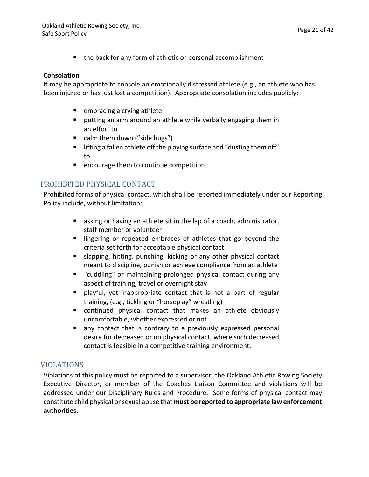■ the back for any form of athletic or personal accomplishment

#### **Consolation**

It may be appropriate to console an emotionally distressed athlete (e.g., an athlete who has been injured or has just lost a competition). Appropriate consolation includes publicly:

- embracing a crying athlete
- $\blacksquare$  putting an arm around an athlete while verbally engaging them in an effort to
- calm them down ("side hugs")
- **E** lifting a fallen athlete off the playing surface and "dusting them off" to
- encourage them to continue competition

#### PROHIBITED PHYSICAL CONTACT

Prohibited forms of physical contact, which shall be reported immediately under our Reporting Policy include, without limitation:

- asking or having an athlete sit in the lap of a coach, administrator, staff member or volunteer
- lingering or repeated embraces of athletes that go beyond the criteria set forth for acceptable physical contact
- slapping, hitting, punching, kicking or any other physical contact meant to discipline, punish or achieve compliance from an athlete
- "cuddling" or maintaining prolonged physical contact during any aspect of training, travel or overnight stay
- **•** playful, yet inappropriate contact that is not a part of regular training, (e.g., tickling or "horseplay" wrestling)
- continued physical contact that makes an athlete obviously uncomfortable, whether expressed or not
- any contact that is contrary to a previously expressed personal desire for decreased or no physical contact, where such decreased contact is feasible in a competitive training environment.

#### VIOLATIONS

Violations of this policy must be reported to a supervisor, the Oakland Athletic Rowing Society Executive Director, or member of the Coaches Liaison Committee and violations will be addressed under our Disciplinary Rules and Procedure. Some forms of physical contact may constitute child physical orsexual abuse that **must be reported to appropriate law enforcement authorities.**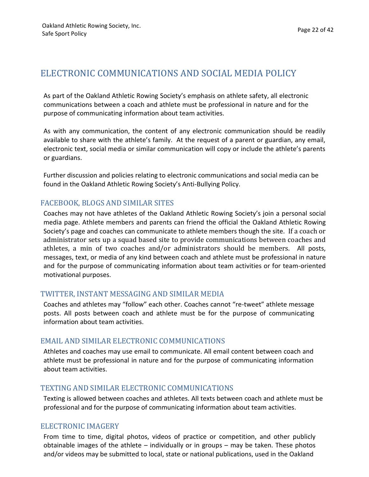## ELECTRONIC COMMUNICATIONS AND SOCIAL MEDIA POLICY

As part of the Oakland Athletic Rowing Society's emphasis on athlete safety, all electronic communications between a coach and athlete must be professional in nature and for the purpose of communicating information about team activities.

As with any communication, the content of any electronic communication should be readily available to share with the athlete's family. At the request of a parent or guardian, any email, electronic text, social media or similar communication will copy or include the athlete's parents or guardians.

Further discussion and policies relating to electronic communications and social media can be found in the Oakland Athletic Rowing Society's Anti-Bullying Policy.

#### FACEBOOK, BLOGS AND SIMILAR SITES

Coaches may not have athletes of the Oakland Athletic Rowing Society's join a personal social media page. Athlete members and parents can friend the official the Oakland Athletic Rowing Society's page and coaches can communicate to athlete members though the site. If a coach or administrator sets up a squad based site to provide communications between coaches and athletes, a min of two coaches and/or administrators should be members. All posts, messages, text, or media of any kind between coach and athlete must be professional in nature and for the purpose of communicating information about team activities or for team-oriented motivational purposes.

#### TWITTER, INSTANT MESSAGING AND SIMILAR MEDIA

Coaches and athletes may "follow" each other. Coaches cannot "re-tweet" athlete message posts. All posts between coach and athlete must be for the purpose of communicating information about team activities.

#### EMAIL AND SIMILAR ELECTRONIC COMMUNICATIONS

Athletes and coaches may use email to communicate. All email content between coach and athlete must be professional in nature and for the purpose of communicating information about team activities.

#### TEXTING AND SIMILAR ELECTRONIC COMMUNICATIONS

Texting is allowed between coaches and athletes. All texts between coach and athlete must be professional and for the purpose of communicating information about team activities.

#### ELECTRONIC IMAGERY

From time to time, digital photos, videos of practice or competition, and other publicly obtainable images of the athlete  $-$  individually or in groups  $-$  may be taken. These photos and/or videos may be submitted to local, state or national publications, used in the Oakland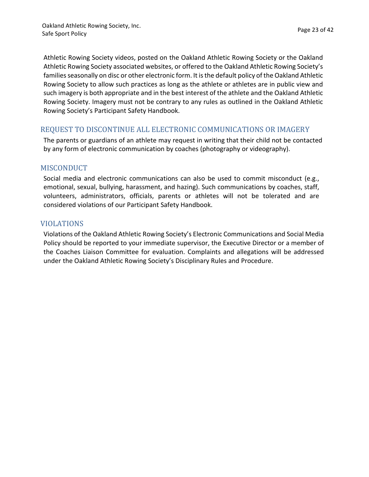Athletic Rowing Society videos, posted on the Oakland Athletic Rowing Society or the Oakland Athletic Rowing Society associated websites, or offered to the Oakland Athletic Rowing Society's families seasonally on disc or other electronic form. It is the default policy of the Oakland Athletic Rowing Society to allow such practices as long as the athlete or athletes are in public view and such imagery is both appropriate and in the best interest of the athlete and the Oakland Athletic Rowing Society. Imagery must not be contrary to any rules as outlined in the Oakland Athletic Rowing Society's Participant Safety Handbook.

#### REQUEST TO DISCONTINUE ALL ELECTRONIC COMMUNICATIONS OR IMAGERY

The parents or guardians of an athlete may request in writing that their child not be contacted by any form of electronic communication by coaches (photography or videography).

#### **MISCONDUCT**

Social media and electronic communications can also be used to commit misconduct (e.g., emotional, sexual, bullying, harassment, and hazing). Such communications by coaches, staff, volunteers, administrators, officials, parents or athletes will not be tolerated and are considered violations of our Participant Safety Handbook.

#### VIOLATIONS

Violations of the Oakland Athletic Rowing Society's Electronic Communications and Social Media Policy should be reported to your immediate supervisor, the Executive Director or a member of the Coaches Liaison Committee for evaluation. Complaints and allegations will be addressed under the Oakland Athletic Rowing Society's Disciplinary Rules and Procedure.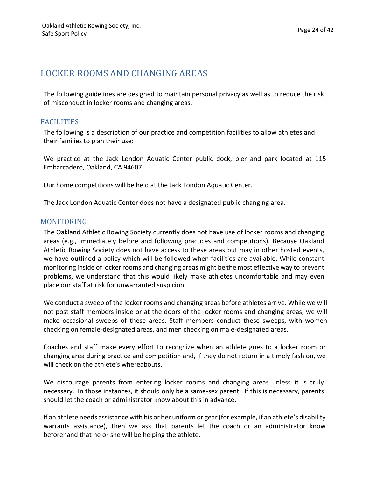## LOCKER ROOMS AND CHANGING AREAS

The following guidelines are designed to maintain personal privacy as well as to reduce the risk of misconduct in locker rooms and changing areas.

#### **FACILITIES**

The following is a description of our practice and competition facilities to allow athletes and their families to plan their use:

We practice at the Jack London Aquatic Center public dock, pier and park located at 115 Embarcadero, Oakland, CA 94607.

Our home competitions will be held at the Jack London Aquatic Center.

The Jack London Aquatic Center does not have a designated public changing area.

#### MONITORING

The Oakland Athletic Rowing Society currently does not have use of locker rooms and changing areas (e.g., immediately before and following practices and competitions). Because Oakland Athletic Rowing Society does not have access to these areas but may in other hosted events, we have outlined a policy which will be followed when facilities are available. While constant monitoring inside of locker rooms and changing areas might be the most effective way to prevent problems, we understand that this would likely make athletes uncomfortable and may even place our staff at risk for unwarranted suspicion.

We conduct a sweep of the locker rooms and changing areas before athletes arrive. While we will not post staff members inside or at the doors of the locker rooms and changing areas, we will make occasional sweeps of these areas. Staff members conduct these sweeps, with women checking on female-designated areas, and men checking on male-designated areas.

Coaches and staff make every effort to recognize when an athlete goes to a locker room or changing area during practice and competition and, if they do not return in a timely fashion, we will check on the athlete's whereabouts.

We discourage parents from entering locker rooms and changing areas unless it is truly necessary. In those instances, it should only be a same-sex parent. If this is necessary, parents should let the coach or administrator know about this in advance.

If an athlete needs assistance with his or her uniform or gear (for example, if an athlete's disability warrants assistance), then we ask that parents let the coach or an administrator know beforehand that he or she will be helping the athlete.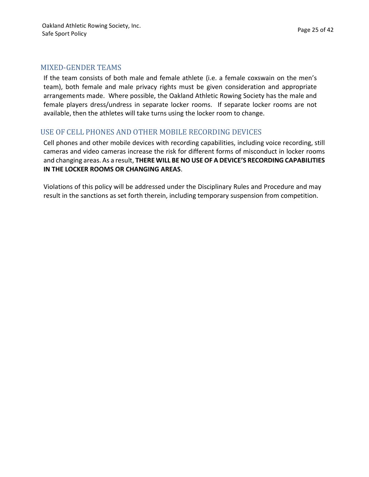#### MIXED-GENDER TEAMS

If the team consists of both male and female athlete (i.e. a female coxswain on the men's team), both female and male privacy rights must be given consideration and appropriate arrangements made. Where possible, the Oakland Athletic Rowing Society has the male and female players dress/undress in separate locker rooms. If separate locker rooms are not available, then the athletes will take turns using the locker room to change.

#### USE OF CELL PHONES AND OTHER MOBILE RECORDING DEVICES

Cell phones and other mobile devices with recording capabilities, including voice recording, still cameras and video cameras increase the risk for different forms of misconduct in locker rooms and changing areas. As a result, **THERE WILL BE NO USE OF A DEVICE'S RECORDING CAPABILITIES IN THE LOCKER ROOMS OR CHANGING AREAS**.

Violations of this policy will be addressed under the Disciplinary Rules and Procedure and may result in the sanctions as set forth therein, including temporary suspension from competition.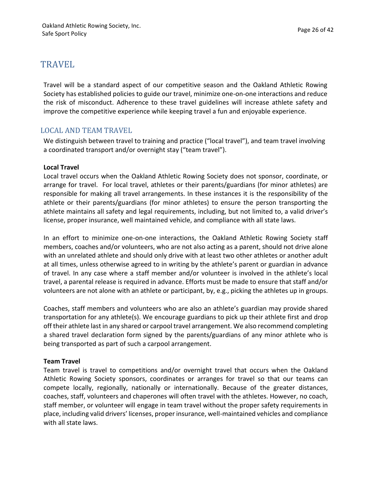## TRAVEL

Travel will be a standard aspect of our competitive season and the Oakland Athletic Rowing Society has established policies to guide our travel, minimize one-on-one interactions and reduce the risk of misconduct. Adherence to these travel guidelines will increase athlete safety and improve the competitive experience while keeping travel a fun and enjoyable experience.

#### LOCAL AND TEAM TRAVEL

We distinguish between travel to training and practice ("local travel"), and team travel involving a coordinated transport and/or overnight stay ("team travel").

#### **Local Travel**

Local travel occurs when the Oakland Athletic Rowing Society does not sponsor, coordinate, or arrange for travel. For local travel, athletes or their parents/guardians (for minor athletes) are responsible for making all travel arrangements. In these instances it is the responsibility of the athlete or their parents/guardians (for minor athletes) to ensure the person transporting the athlete maintains all safety and legal requirements, including, but not limited to, a valid driver's license, proper insurance, well maintained vehicle, and compliance with all state laws.

In an effort to minimize one-on-one interactions, the Oakland Athletic Rowing Society staff members, coaches and/or volunteers, who are not also acting as a parent, should not drive alone with an unrelated athlete and should only drive with at least two other athletes or another adult at all times, unless otherwise agreed to in writing by the athlete's parent or guardian in advance of travel. In any case where a staff member and/or volunteer is involved in the athlete's local travel, a parental release is required in advance. Efforts must be made to ensure that staff and/or volunteers are not alone with an athlete or participant, by, e.g., picking the athletes up in groups.

Coaches, staff members and volunteers who are also an athlete's guardian may provide shared transportation for any athlete(s). We encourage guardians to pick up their athlete first and drop off their athlete last in any shared or carpool travel arrangement. We also recommend completing a shared travel declaration form signed by the parents/guardians of any minor athlete who is being transported as part of such a carpool arrangement.

#### **Team Travel**

Team travel is travel to competitions and/or overnight travel that occurs when the Oakland Athletic Rowing Society sponsors, coordinates or arranges for travel so that our teams can compete locally, regionally, nationally or internationally. Because of the greater distances, coaches, staff, volunteers and chaperones will often travel with the athletes. However, no coach, staff member, or volunteer will engage in team travel without the proper safety requirements in place, including valid drivers' licenses, proper insurance, well-maintained vehicles and compliance with all state laws.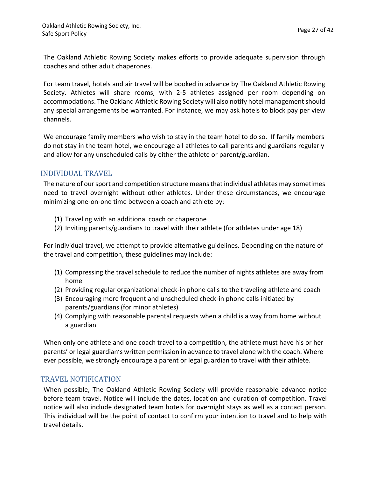The Oakland Athletic Rowing Society makes efforts to provide adequate supervision through coaches and other adult chaperones.

For team travel, hotels and air travel will be booked in advance by The Oakland Athletic Rowing Society. Athletes will share rooms, with 2-5 athletes assigned per room depending on accommodations. The Oakland Athletic Rowing Society will also notify hotel management should any special arrangements be warranted. For instance, we may ask hotels to block pay per view channels.

We encourage family members who wish to stay in the team hotel to do so. If family members do not stay in the team hotel, we encourage all athletes to call parents and guardians regularly and allow for any unscheduled calls by either the athlete or parent/guardian.

#### INDIVIDUAL TRAVEL

The nature of our sport and competition structure means that individual athletes may sometimes need to travel overnight without other athletes. Under these circumstances, we encourage minimizing one-on-one time between a coach and athlete by:

- (1) Traveling with an additional coach or chaperone
- (2) Inviting parents/guardians to travel with their athlete (for athletes under age 18)

For individual travel, we attempt to provide alternative guidelines. Depending on the nature of the travel and competition, these guidelines may include:

- $(1)$  Compressing the travel schedule to reduce the number of nights athletes are away from home
- (2) Providing regular organizational check-in phone calls to the traveling athlete and coach
- (3) Encouraging more frequent and unscheduled check-in phone calls initiated by parents/guardians (for minor athletes)
- (4) Complying with reasonable parental requests when a child is a way from home without a guardian

When only one athlete and one coach travel to a competition, the athlete must have his or her parents' or legal guardian's written permission in advance to travel alone with the coach. Where ever possible, we strongly encourage a parent or legal guardian to travel with their athlete.

#### TRAVEL NOTIFICATION

When possible, The Oakland Athletic Rowing Society will provide reasonable advance notice before team travel. Notice will include the dates, location and duration of competition. Travel notice will also include designated team hotels for overnight stays as well as a contact person. This individual will be the point of contact to confirm your intention to travel and to help with travel details.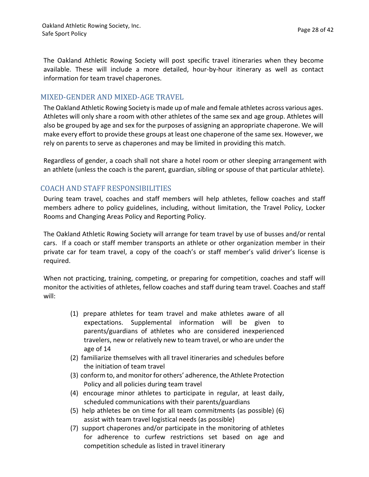The Oakland Athletic Rowing Society will post specific travel itineraries when they become available. These will include a more detailed, hour-by-hour itinerary as well as contact information for team travel chaperones.

#### MIXED-GENDER AND MIXED-AGE TRAVEL

The Oakland Athletic Rowing Society is made up of male and female athletes across various ages. Athletes will only share a room with other athletes of the same sex and age group. Athletes will also be grouped by age and sex for the purposes of assigning an appropriate chaperone. We will make every effort to provide these groups at least one chaperone of the same sex. However, we rely on parents to serve as chaperones and may be limited in providing this match.

Regardless of gender, a coach shall not share a hotel room or other sleeping arrangement with an athlete (unless the coach is the parent, guardian, sibling or spouse of that particular athlete).

#### COACH AND STAFF RESPONSIBILITIES

During team travel, coaches and staff members will help athletes, fellow coaches and staff members adhere to policy guidelines, including, without limitation, the Travel Policy, Locker Rooms and Changing Areas Policy and Reporting Policy.

The Oakland Athletic Rowing Society will arrange for team travel by use of busses and/or rental cars. If a coach or staff member transports an athlete or other organization member in their private car for team travel, a copy of the coach's or staff member's valid driver's license is required.

When not practicing, training, competing, or preparing for competition, coaches and staff will monitor the activities of athletes, fellow coaches and staff during team travel. Coaches and staff will:

- (1) prepare athletes for team travel and make athletes aware of all expectations. Supplemental information will be given to parents/guardians of athletes who are considered inexperienced travelers, new or relatively new to team travel, or who are under the age of 14
- (2) familiarize themselves with all travel itineraries and schedules before the initiation of team travel
- (3) conform to, and monitor for others' adherence, the Athlete Protection Policy and all policies during team travel
- (4) encourage minor athletes to participate in regular, at least daily, scheduled communications with their parents/guardians
- (5) help athletes be on time for all team commitments (as possible) (6) assist with team travel logistical needs (as possible)
- (7) support chaperones and/or participate in the monitoring of athletes for adherence to curfew restrictions set based on age and competition schedule as listed in travel itinerary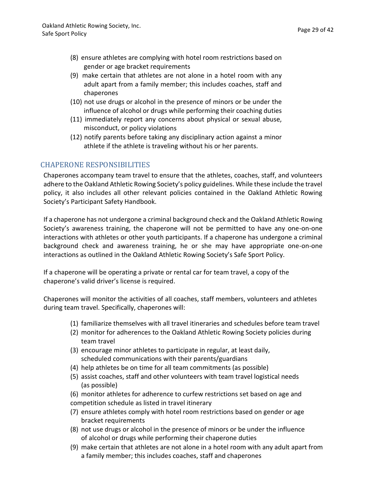- (8) ensure athletes are complying with hotel room restrictions based on gender or age bracket requirements
- (9) make certain that athletes are not alone in a hotel room with any adult apart from a family member; this includes coaches, staff and chaperones
- (10) not use drugs or alcohol in the presence of minors or be under the influence of alcohol or drugs while performing their coaching duties
- (11) immediately report any concerns about physical or sexual abuse, misconduct, or policy violations
- $(12)$  notify parents before taking any disciplinary action against a minor athlete if the athlete is traveling without his or her parents.

#### CHAPERONE RESPONSIBILITIES

Chaperones accompany team travel to ensure that the athletes, coaches, staff, and volunteers adhere to the Oakland Athletic Rowing Society's policy guidelines. While these include the travel policy, it also includes all other relevant policies contained in the Oakland Athletic Rowing Society's Participant Safety Handbook.

If a chaperone has not undergone a criminal background check and the Oakland Athletic Rowing Society's awareness training, the chaperone will not be permitted to have any one-on-one interactions with athletes or other youth participants. If a chaperone has undergone a criminal background check and awareness training, he or she may have appropriate one-on-one interactions as outlined in the Oakland Athletic Rowing Society's Safe Sport Policy.

If a chaperone will be operating a private or rental car for team travel, a copy of the chaperone's valid driver's license is required.

Chaperones will monitor the activities of all coaches, staff members, volunteers and athletes during team travel. Specifically, chaperones will:

- (1) familiarize themselves with all travel itineraries and schedules before team travel
- (2) monitor for adherences to the Oakland Athletic Rowing Society policies during team travel
- (3) encourage minor athletes to participate in regular, at least daily, scheduled communications with their parents/guardians
- (4) help athletes be on time for all team commitments (as possible)
- (5) assist coaches, staff and other volunteers with team travel logistical needs (as possible)
- (6) monitor athletes for adherence to curfew restrictions set based on age and competition schedule as listed in travel itinerary
- (7) ensure athletes comply with hotel room restrictions based on gender or age bracket requirements
- (8) not use drugs or alcohol in the presence of minors or be under the influence of alcohol or drugs while performing their chaperone duties
- (9) make certain that athletes are not alone in a hotel room with any adult apart from a family member; this includes coaches, staff and chaperones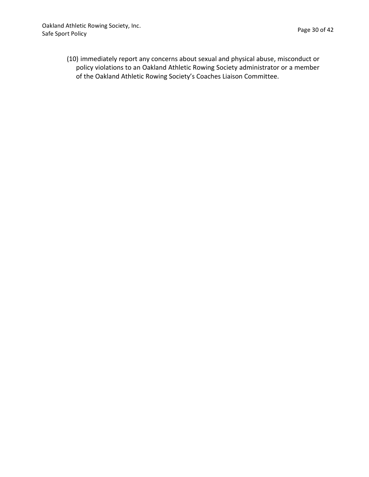(10) immediately report any concerns about sexual and physical abuse, misconduct or policy violations to an Oakland Athletic Rowing Society administrator or a member of the Oakland Athletic Rowing Society's Coaches Liaison Committee.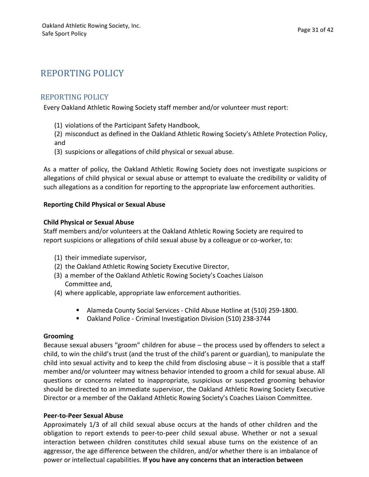## REPORTING POLICY

#### REPORTING POLICY

Every Oakland Athletic Rowing Society staff member and/or volunteer must report:

- (1) violations of the Participant Safety Handbook,
- (2) misconduct as defined in the Oakland Athletic Rowing Society's Athlete Protection Policy, and
- (3) suspicions or allegations of child physical or sexual abuse.

As a matter of policy, the Oakland Athletic Rowing Society does not investigate suspicions or allegations of child physical or sexual abuse or attempt to evaluate the credibility or validity of such allegations as a condition for reporting to the appropriate law enforcement authorities.

#### **Reporting Child Physical or Sexual Abuse**

#### **Child Physical or Sexual Abuse**

Staff members and/or volunteers at the Oakland Athletic Rowing Society are required to report suspicions or allegations of child sexual abuse by a colleague or co-worker, to:

- (1) their immediate supervisor,
- (2) the Oakland Athletic Rowing Society Executive Director,
- (3) a member of the Oakland Athletic Rowing Society's Coaches Liaison Committee and,
- (4) where applicable, appropriate law enforcement authorities.
	- Alameda County Social Services Child Abuse Hotline at (510) 259-1800.
	- Oakland Police Criminal Investigation Division (510) 238-3744

#### **Grooming**

Because sexual abusers "groom" children for abuse  $-$  the process used by offenders to select a child, to win the child's trust (and the trust of the child's parent or guardian), to manipulate the child into sexual activity and to keep the child from disclosing abuse  $-$  it is possible that a staff member and/or volunteer may witness behavior intended to groom a child for sexual abuse. All questions or concerns related to inappropriate, suspicious or suspected grooming behavior should be directed to an immediate supervisor, the Oakland Athletic Rowing Society Executive Director or a member of the Oakland Athletic Rowing Society's Coaches Liaison Committee.

#### **Peer-to-Peer Sexual Abuse**

Approximately 1/3 of all child sexual abuse occurs at the hands of other children and the obligation to report extends to peer-to-peer child sexual abuse. Whether or not a sexual interaction between children constitutes child sexual abuse turns on the existence of an aggressor, the age difference between the children, and/or whether there is an imbalance of power or intellectual capabilities. **If you have any concerns that an interaction between**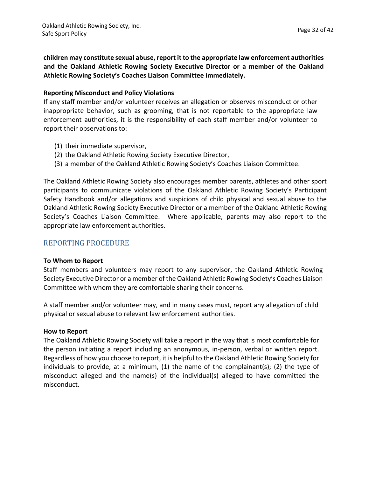**children may constitute sexual abuse, report it to the appropriate law enforcement authorities and the Oakland Athletic Rowing Society Executive Director or a member of the Oakland Athletic Rowing Society's Coaches Liaison Committee immediately.**

#### **Reporting Misconduct and Policy Violations**

If any staff member and/or volunteer receives an allegation or observes misconduct or other inappropriate behavior, such as grooming, that is not reportable to the appropriate law enforcement authorities, it is the responsibility of each staff member and/or volunteer to report their observations to:

- (1) their immediate supervisor,
- (2) the Oakland Athletic Rowing Society Executive Director,
- (3) a member of the Oakland Athletic Rowing Society's Coaches Liaison Committee.

The Oakland Athletic Rowing Society also encourages member parents, athletes and other sport participants to communicate violations of the Oakland Athletic Rowing Society's Participant Safety Handbook and/or allegations and suspicions of child physical and sexual abuse to the Oakland Athletic Rowing Society Executive Director or a member of the Oakland Athletic Rowing Society's Coaches Liaison Committee. Where applicable, parents may also report to the appropriate law enforcement authorities.

#### REPORTING PROCEDURE

#### **To Whom to Report**

Staff members and volunteers may report to any supervisor, the Oakland Athletic Rowing Society Executive Director or a member of the Oakland Athletic Rowing Society's Coaches Liaison Committee with whom they are comfortable sharing their concerns.

A staff member and/or volunteer may, and in many cases must, report any allegation of child physical or sexual abuse to relevant law enforcement authorities.

#### **How to Report**

The Oakland Athletic Rowing Society will take a report in the way that is most comfortable for the person initiating a report including an anonymous, in-person, verbal or written report. Regardless of how you choose to report, it is helpful to the Oakland Athletic Rowing Society for individuals to provide, at a minimum,  $(1)$  the name of the complainant $(s)$ ;  $(2)$  the type of misconduct alleged and the name(s) of the individual(s) alleged to have committed the misconduct.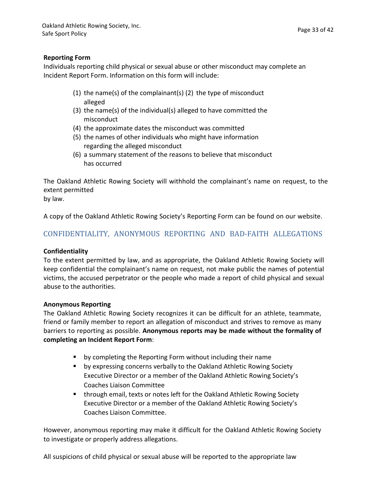#### **Reporting Form**

Individuals reporting child physical or sexual abuse or other misconduct may complete an Incident Report Form. Information on this form will include:

- (1) the name(s) of the complainant(s) (2) the type of misconduct alleged
- $(3)$  the name(s) of the individual(s) alleged to have committed the misconduct
- (4) the approximate dates the misconduct was committed
- (5) the names of other individuals who might have information regarding the alleged misconduct
- (6) a summary statement of the reasons to believe that misconduct has occurred

The Oakland Athletic Rowing Society will withhold the complainant's name on request, to the extent permitted by law.

A copy of the Oakland Athletic Rowing Society's Reporting Form can be found on our website.

#### CONFIDENTIALITY, ANONYMOUS REPORTING AND BAD-FAITH ALLEGATIONS

#### **Confidentiality**

To the extent permitted by law, and as appropriate, the Oakland Athletic Rowing Society will keep confidential the complainant's name on request, not make public the names of potential victims, the accused perpetrator or the people who made a report of child physical and sexual abuse to the authorities.

#### **Anonymous Reporting**

The Oakland Athletic Rowing Society recognizes it can be difficult for an athlete, teammate, friend or family member to report an allegation of misconduct and strives to remove as many **barriers to reporting as possible. Anonymous reports may be made without the formality of completing an Incident Report Form**:

- by completing the Reporting Form without including their name
- by expressing concerns verbally to the Oakland Athletic Rowing Society Executive Director or a member of the Oakland Athletic Rowing Society's Coaches Liaison Committee
- through email, texts or notes left for the Oakland Athletic Rowing Society Executive Director or a member of the Oakland Athletic Rowing Society's Coaches Liaison Committee.

However, anonymous reporting may make it difficult for the Oakland Athletic Rowing Society to investigate or properly address allegations.

All suspicions of child physical or sexual abuse will be reported to the appropriate law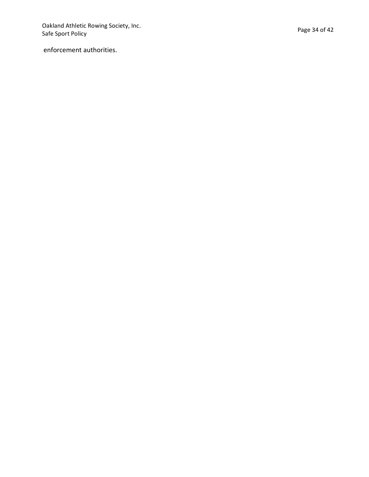Oakland Athletic Rowing Society, Inc. Safe Sport Policy

enforcement authorities.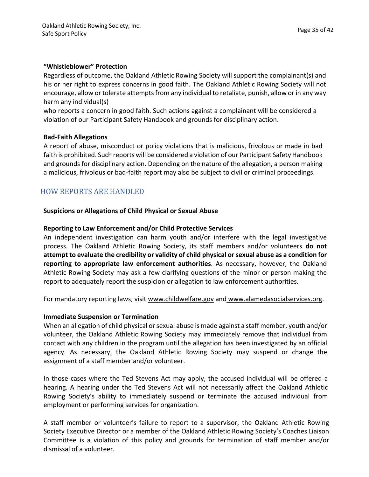#### **"Whistleblower" Protection**

Regardless of outcome, the Oakland Athletic Rowing Society will support the complainant(s) and his or her right to express concerns in good faith. The Oakland Athletic Rowing Society will not encourage, allow or tolerate attempts from any individual to retaliate, punish, allow or in any way harm any individual(s)

who reports a concern in good faith. Such actions against a complainant will be considered a violation of our Participant Safety Handbook and grounds for disciplinary action.

#### **Bad-Faith Allegations**

A report of abuse, misconduct or policy violations that is malicious, frivolous or made in bad faith is prohibited. Such reports will be considered a violation of our Participant Safety Handbook and grounds for disciplinary action. Depending on the nature of the allegation, a person making a malicious, frivolous or bad-faith report may also be subject to civil or criminal proceedings.

#### HOW REPORTS ARE HANDLED

#### **Suspicions or Allegations of Child Physical or Sexual Abuse**

#### **Reporting to Law Enforcement and/or Child Protective Services**

An independent investigation can harm youth and/or interfere with the legal investigative process. The Oakland Athletic Rowing Society, its staff members and/or volunteers **do not attempt to evaluate the credibility or validity of child physical or sexual abuse as a condition for reporting to appropriate law enforcement authorities**. As necessary, however, the Oakland Athletic Rowing Society may ask a few clarifying questions of the minor or person making the report to adequately report the suspicion or allegation to law enforcement authorities.

For mandatory reporting laws, visit www.childwelfare.gov and www.alamedasocialservices.org.

#### **Immediate Suspension or Termination**

When an allegation of child physical or sexual abuse is made against a staff member, youth and/or volunteer, the Oakland Athletic Rowing Society may immediately remove that individual from contact with any children in the program until the allegation has been investigated by an official agency. As necessary, the Oakland Athletic Rowing Society may suspend or change the assignment of a staff member and/or volunteer.

In those cases where the Ted Stevens Act may apply, the accused individual will be offered a hearing. A hearing under the Ted Stevens Act will not necessarily affect the Oakland Athletic Rowing Society's ability to immediately suspend or terminate the accused individual from employment or performing services for organization.

A staff member or volunteer's failure to report to a supervisor, the Oakland Athletic Rowing Society Executive Director or a member of the Oakland Athletic Rowing Society's Coaches Liaison Committee is a violation of this policy and grounds for termination of staff member and/or dismissal of a volunteer.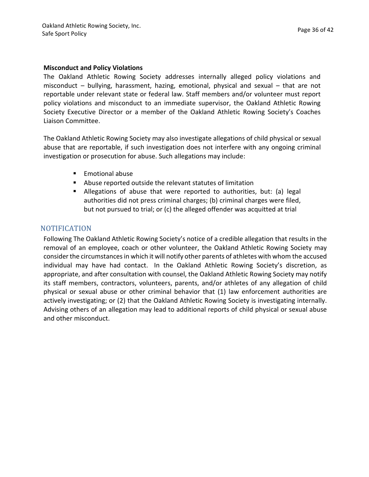#### **Misconduct and Policy Violations**

The Oakland Athletic Rowing Society addresses internally alleged policy violations and misconduct – bullying, harassment, hazing, emotional, physical and sexual – that are not reportable under relevant state or federal law. Staff members and/or volunteer must report policy violations and misconduct to an immediate supervisor, the Oakland Athletic Rowing Society Executive Director or a member of the Oakland Athletic Rowing Society's Coaches Liaison Committee.

The Oakland Athletic Rowing Society may also investigate allegations of child physical or sexual abuse that are reportable, if such investigation does not interfere with any ongoing criminal investigation or prosecution for abuse. Such allegations may include:

- Emotional abuse
- Abuse reported outside the relevant statutes of limitation
- **E** Allegations of abuse that were reported to authorities, but: (a) legal authorities did not press criminal charges; (b) criminal charges were filed, but not pursued to trial; or (c) the alleged offender was acquitted at trial

#### **NOTIFICATION**

Following The Oakland Athletic Rowing Society's notice of a credible allegation that results in the removal of an employee, coach or other volunteer, the Oakland Athletic Rowing Society may consider the circumstances in which it will notify other parents of athletes with whom the accused individual may have had contact. In the Oakland Athletic Rowing Society's discretion, as appropriate, and after consultation with counsel, the Oakland Athletic Rowing Society may notify its staff members, contractors, volunteers, parents, and/or athletes of any allegation of child physical or sexual abuse or other criminal behavior that (1) law enforcement authorities are actively investigating; or (2) that the Oakland Athletic Rowing Society is investigating internally. Advising others of an allegation may lead to additional reports of child physical or sexual abuse and other misconduct.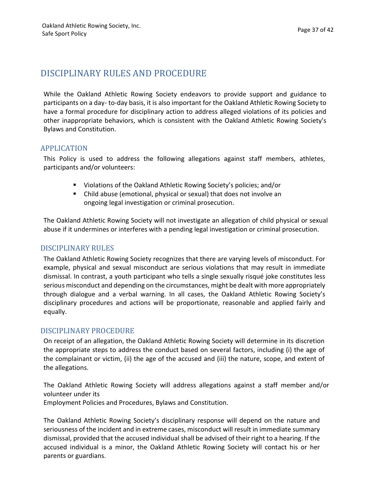## DISCIPLINARY RULES AND PROCEDURE

While the Oakland Athletic Rowing Society endeavors to provide support and guidance to participants on a day- to-day basis, it is also important for the Oakland Athletic Rowing Society to have a formal procedure for disciplinary action to address alleged violations of its policies and other inappropriate behaviors, which is consistent with the Oakland Athletic Rowing Society's Bylaws and Constitution.

#### APPLICATION

This Policy is used to address the following allegations against staff members, athletes, participants and/or volunteers:

- Violations of the Oakland Athletic Rowing Society's policies; and/or
- Child abuse (emotional, physical or sexual) that does not involve an ongoing legal investigation or criminal prosecution.

The Oakland Athletic Rowing Society will not investigate an allegation of child physical or sexual abuse if it undermines or interferes with a pending legal investigation or criminal prosecution.

#### DISCIPLINARY RULES

The Oakland Athletic Rowing Society recognizes that there are varying levels of misconduct. For example, physical and sexual misconduct are serious violations that may result in immediate dismissal. In contrast, a youth participant who tells a single sexually risqué joke constitutes less serious misconduct and depending on the circumstances, might be dealt with more appropriately through dialogue and a verbal warning. In all cases, the Oakland Athletic Rowing Society's disciplinary procedures and actions will be proportionate, reasonable and applied fairly and equally.

#### DISCIPLINARY PROCEDURE

On receipt of an allegation, the Oakland Athletic Rowing Society will determine in its discretion the appropriate steps to address the conduct based on several factors, including (i) the age of the complainant or victim, (ii) the age of the accused and (iii) the nature, scope, and extent of the allegations.

The Oakland Athletic Rowing Society will address allegations against a staff member and/or volunteer under its

Employment Policies and Procedures, Bylaws and Constitution.

The Oakland Athletic Rowing Society's disciplinary response will depend on the nature and seriousness of the incident and in extreme cases, misconduct will result in immediate summary dismissal, provided that the accused individual shall be advised of their right to a hearing. If the accused individual is a minor, the Oakland Athletic Rowing Society will contact his or her parents or guardians.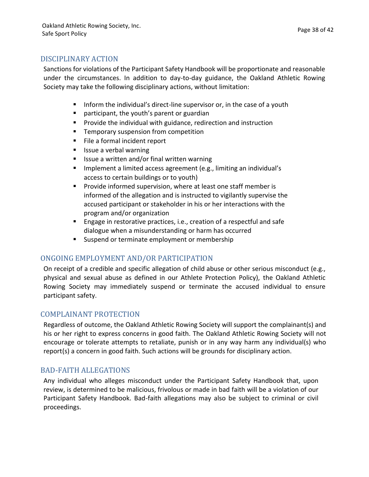#### DISCIPLINARY ACTION

Sanctions for violations of the Participant Safety Handbook will be proportionate and reasonable under the circumstances. In addition to day-to-day guidance, the Oakland Athletic Rowing Society may take the following disciplinary actions, without limitation:

- Inform the individual's direct-line supervisor or, in the case of a youth
- participant, the youth's parent or guardian
- Provide the individual with guidance, redirection and instruction
- Temporary suspension from competition
- File a formal incident report
- Issue a verbal warning
- Issue a written and/or final written warning
- Implement a limited access agreement (e.g., limiting an individual's access to certain buildings or to youth)
- Provide informed supervision, where at least one staff member is informed of the allegation and is instructed to vigilantly supervise the accused participant or stakeholder in his or her interactions with the program and/or organization
- Engage in restorative practices, i.e., creation of a respectful and safe dialogue when a misunderstanding or harm has occurred
- Suspend or terminate employment or membership

#### ONGOING EMPLOYMENT AND/OR PARTICIPATION

On receipt of a credible and specific allegation of child abuse or other serious misconduct (e.g., physical and sexual abuse as defined in our Athlete Protection Policy), the Oakland Athletic Rowing Society may immediately suspend or terminate the accused individual to ensure participant safety.

#### COMPLAINANT PROTECTION

Regardless of outcome, the Oakland Athletic Rowing Society will support the complainant(s) and his or her right to express concerns in good faith. The Oakland Athletic Rowing Society will not encourage or tolerate attempts to retaliate, punish or in any way harm any individual(s) who  $r$ eport(s) a concern in good faith. Such actions will be grounds for disciplinary action.

#### BAD-FAITH ALLEGATIONS

Any individual who alleges misconduct under the Participant Safety Handbook that, upon review, is determined to be malicious, frivolous or made in bad faith will be a violation of our Participant Safety Handbook. Bad-faith allegations may also be subject to criminal or civil proceedings.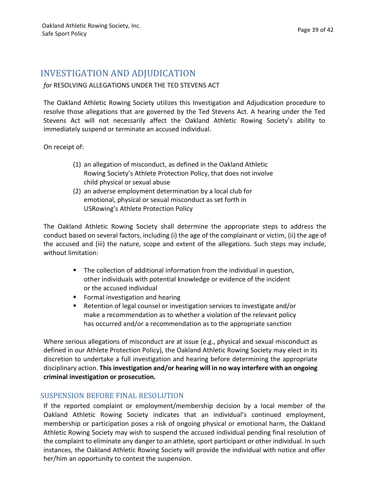## INVESTIGATION AND ADJUDICATION

#### for RESOLVING ALLEGATIONS UNDER THE TED STEVENS ACT

The Oakland Athletic Rowing Society utilizes this Investigation and Adjudication procedure to resolve those allegations that are governed by the Ted Stevens Act. A hearing under the Ted Stevens Act will not necessarily affect the Oakland Athletic Rowing Society's ability to immediately suspend or terminate an accused individual.

On receipt of:

- (1) an allegation of misconduct, as defined in the Oakland Athletic Rowing Society's Athlete Protection Policy, that does not involve child physical or sexual abuse
- (2) an adverse employment determination by a local club for emotional, physical or sexual misconduct as set forth in USRowing's Athlete Protection Policy

The Oakland Athletic Rowing Society shall determine the appropriate steps to address the conduct based on several factors, including (i) the age of the complainant or victim, (ii) the age of the accused and (iii) the nature, scope and extent of the allegations. Such steps may include, without limitation:

- The collection of additional information from the individual in question, other individuals with potential knowledge or evidence of the incident or the accused individual
- Formal investigation and hearing
- Retention of legal counsel or investigation services to investigate and/or make a recommendation as to whether a violation of the relevant policy has occurred and/or a recommendation as to the appropriate sanction

Where serious allegations of misconduct are at issue (e.g., physical and sexual misconduct as defined in our Athlete Protection Policy), the Oakland Athletic Rowing Society may elect in its discretion to undertake a full investigation and hearing before determining the appropriate disciplinary action. **Thisinvestigation and/or hearing will in no way interfere with an ongoing criminal investigation or prosecution.**

#### SUSPENSION BEFORE FINAL RESOLUTION

If the reported complaint or employment/membership decision by a local member of the Oakland Athletic Rowing Society indicates that an individual's continued employment, membership or participation poses a risk of ongoing physical or emotional harm, the Oakland Athletic Rowing Society may wish to suspend the accused individual pending final resolution of the complaint to eliminate any danger to an athlete, sport participant or other individual. In such instances, the Oakland Athletic Rowing Society will provide the individual with notice and offer her/him an opportunity to contest the suspension.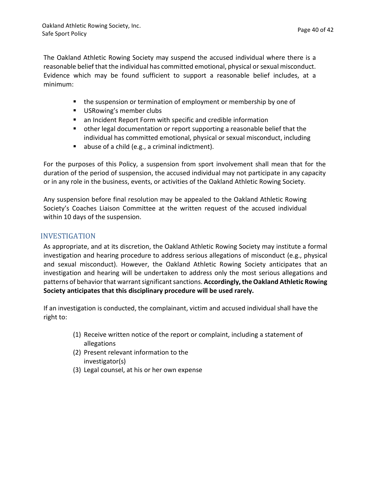The Oakland Athletic Rowing Society may suspend the accused individual where there is a reasonable belief that the individual has committed emotional, physical or sexual misconduct. Evidence which may be found sufficient to support a reasonable belief includes, at a minimum:

- the suspension or termination of employment or membership by one of
- USRowing's member clubs
- an Incident Report Form with specific and credible information
- **•** other legal documentation or report supporting a reasonable belief that the individual has committed emotional, physical or sexual misconduct, including
- $\blacksquare$  abuse of a child (e.g., a criminal indictment).

For the purposes of this Policy, a suspension from sport involvement shall mean that for the duration of the period of suspension, the accused individual may not participate in any capacity or in any role in the business, events, or activities of the Oakland Athletic Rowing Society.

Any suspension before final resolution may be appealed to the Oakland Athletic Rowing Society's Coaches Liaison Committee at the written request of the accused individual within 10 days of the suspension.

#### INVESTIGATION

As appropriate, and at its discretion, the Oakland Athletic Rowing Society may institute a formal investigation and hearing procedure to address serious allegations of misconduct (e.g., physical and sexual misconduct). However, the Oakland Athletic Rowing Society anticipates that an investigation and hearing will be undertaken to address only the most serious allegations and patterns of behavior that warrant significant sanctions. **Accordingly, the Oakland Athletic Rowing Society anticipates that this disciplinary procedure will be used rarely.**

If an investigation is conducted, the complainant, victim and accused individual shall have the right to:

- (1) Receive written notice of the report or complaint, including a statement of allegations
- (2) Present relevant information to the investigator(s)
- (3) Legal counsel, at his or her own expense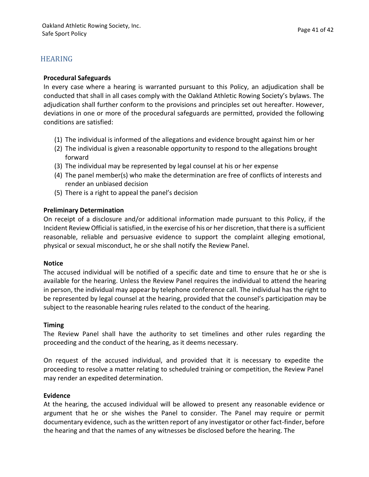#### HEARING

#### **Procedural Safeguards**

In every case where a hearing is warranted pursuant to this Policy, an adjudication shall be conducted that shall in all cases comply with the Oakland Athletic Rowing Society's bylaws. The adjudication shall further conform to the provisions and principles set out hereafter. However, deviations in one or more of the procedural safeguards are permitted, provided the following conditions are satisfied:

- (1) The individual is informed of the allegations and evidence brought against him or her
- (2) The individual is given a reasonable opportunity to respond to the allegations brought forward
- (3) The individual may be represented by legal counsel at his or her expense
- (4) The panel member(s) who make the determination are free of conflicts of interests and render an unbiased decision
- (5) There is a right to appeal the panel's decision

#### **Preliminary Determination**

On receipt of a disclosure and/or additional information made pursuant to this Policy, if the Incident Review Official is satisfied, in the exercise of his or her discretion, that there is a sufficient reasonable, reliable and persuasive evidence to support the complaint alleging emotional, physical or sexual misconduct, he or she shall notify the Review Panel.

#### **Notice**

The accused individual will be notified of a specific date and time to ensure that he or she is available for the hearing. Unless the Review Panel requires the individual to attend the hearing in person, the individual may appear by telephone conference call. The individual has the right to be represented by legal counsel at the hearing, provided that the counsel's participation may be subject to the reasonable hearing rules related to the conduct of the hearing.

#### **Timing**

The Review Panel shall have the authority to set timelines and other rules regarding the proceeding and the conduct of the hearing, as it deems necessary.

On request of the accused individual, and provided that it is necessary to expedite the proceeding to resolve a matter relating to scheduled training or competition, the Review Panel may render an expedited determination.

#### **Evidence**

At the hearing, the accused individual will be allowed to present any reasonable evidence or argument that he or she wishes the Panel to consider. The Panel may require or permit documentary evidence, such as the written report of any investigator or other fact-finder, before the hearing and that the names of any witnesses be disclosed before the hearing. The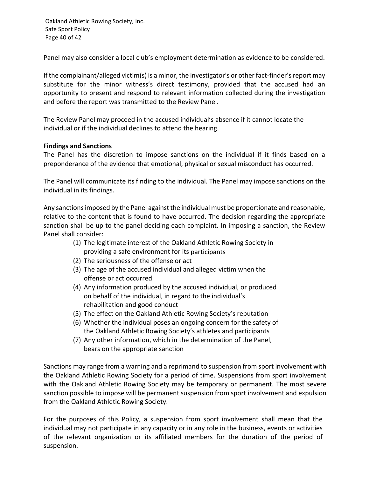Oakland Athletic Rowing Society, Inc. Safe Sport Policy Page 40 of 42

Panel may also consider a local club's employment determination as evidence to be considered.

If the complainant/alleged victim(s) is a minor, the investigator's or other fact-finder's report may substitute for the minor witness's direct testimony, provided that the accused had an opportunity to present and respond to relevant information collected during the investigation and before the report was transmitted to the Review Panel.

The Review Panel may proceed in the accused individual's absence if it cannot locate the individual or if the individual declines to attend the hearing.

#### **Findings and Sanctions**

The Panel has the discretion to impose sanctions on the individual if it finds based on a preponderance of the evidence that emotional, physical or sexual misconduct has occurred.

The Panel will communicate its finding to the individual. The Panel may impose sanctions on the individual in its findings.

Any sanctions imposed by the Panel against the individual must be proportionate and reasonable, relative to the content that is found to have occurred. The decision regarding the appropriate sanction shall be up to the panel deciding each complaint. In imposing a sanction, the Review Panel shall consider:

- (1) The legitimate interest of the Oakland Athletic Rowing Society in providing a safe environment for its participants
- (2) The seriousness of the offense or act
- (3) The age of the accused individual and alleged victim when the offense or act occurred
- (4) Any information produced by the accused individual, or produced on behalf of the individual, in regard to the individual's rehabilitation and good conduct
- (5) The effect on the Oakland Athletic Rowing Society's reputation
- (6) Whether the individual poses an ongoing concern for the safety of the Oakland Athletic Rowing Society's athletes and participants
- (7) Any other information, which in the determination of the Panel, bears on the appropriate sanction

Sanctions may range from a warning and a reprimand to suspension from sport involvement with the Oakland Athletic Rowing Society for a period of time. Suspensions from sport involvement with the Oakland Athletic Rowing Society may be temporary or permanent. The most severe sanction possible to impose will be permanent suspension from sport involvement and expulsion from the Oakland Athletic Rowing Society.

For the purposes of this Policy, a suspension from sport involvement shall mean that the individual may not participate in any capacity or in any role in the business, events or activities of the relevant organization or its affiliated members for the duration of the period of suspension.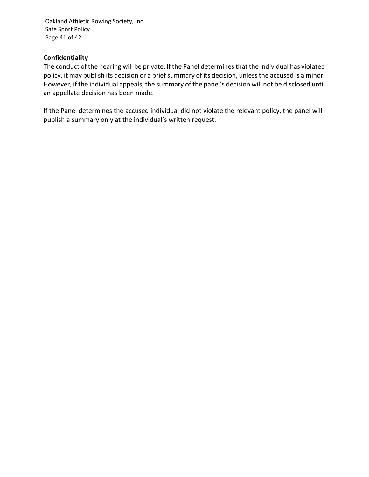Oakland Athletic Rowing Society, Inc. Safe Sport Policy Page 41 of 42

#### **Confidentiality**

The conduct of the hearing will be private. If the Panel determines that the individual has violated policy, it may publish its decision or a brief summary of its decision, unless the accused is a minor. However, if the individual appeals, the summary of the panel's decision will not be disclosed until an appellate decision has been made.

If the Panel determines the accused individual did not violate the relevant policy, the panel will publish a summary only at the individual's written request.